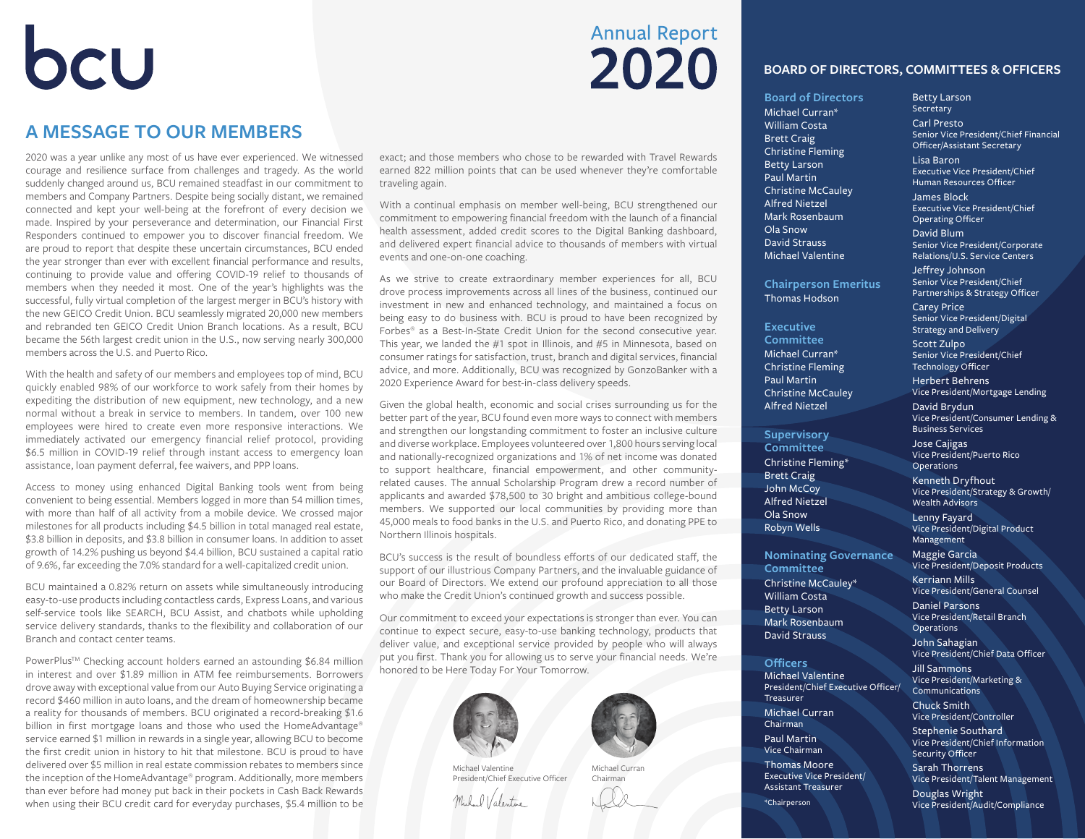## OCU

### **A MESSAGE TO OUR MEMBERS**

2020 was a year unlike any most of us have ever experienced. We witnessed courage and resilience surface from challenges and tragedy. As the world suddenly changed around us, BCU remained steadfast in our commitment to members and Company Partners. Despite being socially distant, we remained connected and kept your well-being at the forefront of every decision we made. Inspired by your perseverance and determination, our Financial First Responders continued to empower you to discover financial freedom. We are proud to report that despite these uncertain circumstances, BCU ended the year stronger than ever with excellent financial performance and results, continuing to provide value and offering COVID-19 relief to thousands of members when they needed it most. One of the year's highlights was the successful, fully virtual completion of the largest merger in BCU's history with the new GEICO Credit Union. BCU seamlessly migrated 20,000 new members and rebranded ten GEICO Credit Union Branch locations. As a result, BCU became the 56th largest credit union in the U.S., now serving nearly 300,000 members across the U.S. and Puerto Rico.

With the health and safety of our members and employees top of mind, BCU quickly enabled 98% of our workforce to work safely from their homes by expediting the distribution of new equipment, new technology, and a new normal without a break in service to members. In tandem, over 100 new employees were hired to create even more responsive interactions. We immediately activated our emergency financial relief protocol, providing \$6.5 million in COVID-19 relief through instant access to emergency loan assistance, loan payment deferral, fee waivers, and PPP loans.

Access to money using enhanced Digital Banking tools went from being convenient to being essential. Members logged in more than 54 million times, with more than half of all activity from a mobile device. We crossed major milestones for all products including \$4.5 billion in total managed real estate, \$3.8 billion in deposits, and \$3.8 billion in consumer loans. In addition to asset growth of 14.2% pushing us beyond \$4.4 billion, BCU sustained a capital ratio of 9.6%, far exceeding the 7.0% standard for a well-capitalized credit union.

BCU maintained a 0.82% return on assets while simultaneously introducing easy-to-use products including contactless cards, Express Loans, and various self-service tools like SEARCH, BCU Assist, and chatbots while upholding service delivery standards, thanks to the flexibility and collaboration of our Branch and contact center teams.

PowerPlus™ Checking account holders earned an astounding \$6.84 million in interest and over \$1.89 million in ATM fee reimbursements. Borrowers drove away with exceptional value from our Auto Buying Service originating a record \$460 million in auto loans, and the dream of homeownership became a reality for thousands of members. BCU originated a record-breaking \$1.6 billion in first mortgage loans and those who used the HomeAdvantage® service earned \$1 million in rewards in a single year, allowing BCU to become the first credit union in history to hit that milestone. BCU is proud to have delivered over \$5 million in real estate commission rebates to members since the inception of the HomeAdvantage® program. Additionally, more members than ever before had money put back in their pockets in Cash Back Rewards when using their BCU credit card for everyday purchases, \$5.4 million to be

#### exact; and those members who chose to be rewarded with Travel Rewards earned 822 million points that can be used whenever they're comfortable traveling again.

**Annual Report** 

2020

With a continual emphasis on member well-being, BCU strengthened our commitment to empowering financial freedom with the launch of a financial health assessment, added credit scores to the Digital Banking dashboard, and delivered expert financial advice to thousands of members with virtual events and one-on-one coaching.

As we strive to create extraordinary member experiences for all, BCU drove process improvements across all lines of the business, continued our investment in new and enhanced technology, and maintained a focus on being easy to do business with. BCU is proud to have been recognized by Forbes® as a Best-In-State Credit Union for the second consecutive year. This year, we landed the #1 spot in Illinois, and #5 in Minnesota, based on consumer ratings for satisfaction, trust, branch and digital services, financial advice, and more. Additionally, BCU was recognized by GonzoBanker with a 2020 Experience Award for best-in-class delivery speeds.

Given the global health, economic and social crises surrounding us for the better part of the year, BCU found even more ways to connect with members and strengthen our longstanding commitment to foster an inclusive culture and diverse workplace. Employees volunteered over 1,800 hours serving local and nationally-recognized organizations and 1% of net income was donated to support healthcare, financial empowerment, and other communityrelated causes. The annual Scholarship Program drew a record number of applicants and awarded \$78,500 to 30 bright and ambitious college-bound members. We supported our local communities by providing more than 45,000 meals to food banks in the U.S. and Puerto Rico, and donating PPE to Northern Illinois hospitals.

BCU's success is the result of boundless efforts of our dedicated staff, the support of our illustrious Company Partners, and the invaluable guidance of our Board of Directors. We extend our profound appreciation to all those who make the Credit Union's continued growth and success possible.

Our commitment to exceed your expectations is stronger than ever. You can continue to expect secure, easy-to-use banking technology, products that deliver value, and exceptional service provided by people who will always put you first. Thank you for allowing us to serve your financial needs. We're honored to be Here Today For Your Tomorrow.





Michael Valentine President/Chief Executive Officer

Millard Valentine

Michael Curran Chairman

#### **BOARD OF DIRECTORS, COMMITTEES & OFFICERS**

**Board of Directors** Michael Curran\* William Costa Brett Craig Christine Fleming Betty Larson Paul Martin Christine McCauley Alfred Nietzel Mark Rosenbaum Ola Snow David Strauss Michael Valentine

**Chairperson Emeritus** Thomas Hodson

**Executive Committee** Michael Curran\* Christine Fleming Paul Martin Christine McCauley Alfred Nietzel

**Supervisory Committee** Christine Fleming\* Brett Craig John McCoy Alfred Nietzel Ola Snow Robyn Wells

**Committee** Christine McCauley\* William Costa Betty Larson Mark Rosenbaum David Strauss

**Officers** Michael Valentine

Treasurer Michael Curran Chairman Paul Martin Vice Chairman Thomas Moore Executive Vice President/ Assistant Treasurer

**Nominating Governance** 

President/Chief Executive Officer/

Betty Larson **Secretary** Carl Presto Senior Vice President/Chief Financial Officer/Assistant Secretary Lisa Baron Executive Vice President/Chief Human Resources Officer James Block Executive Vice President/Chief Operating Officer

David Blum Senior Vice President/Corporate Relations/U.S. Service Centers

Jeffrey Johnson Senior Vice President/Chief Partnerships & Strategy Officer

Carey Price Senior Vice President/Digital Strategy and Delivery Scott Zulpo Senior Vice President/Chief Technology Officer Herbert Behrens Vice President/Mortgage Lending David Brydun Vice President/Consumer Lending & Business Services

Jose Cajigas Vice President/Puerto Rico Operations

Kenneth Dryfhout Vice President/Strategy & Growth/ Wealth Advisors

Lenny Fayard Vice President/Digital Product Management

Maggie Garcia Vice President/Deposit Products

Kerriann Mills Vice President/General Counsel

Daniel Parsons Vice President/Retail Branch **Operations** 

John Sahagian Vice President/Chief Data Officer

Jill Sammons Vice President/Marketing & **Communications** 

Chuck Smith Vice President/Controller

Stephenie Southard Vice President/Chief Information Security Officer

Sarah Thorrens Vice President/Talent Management

Douglas Wright Vice President/Audit/Compliance

\*Chairperson